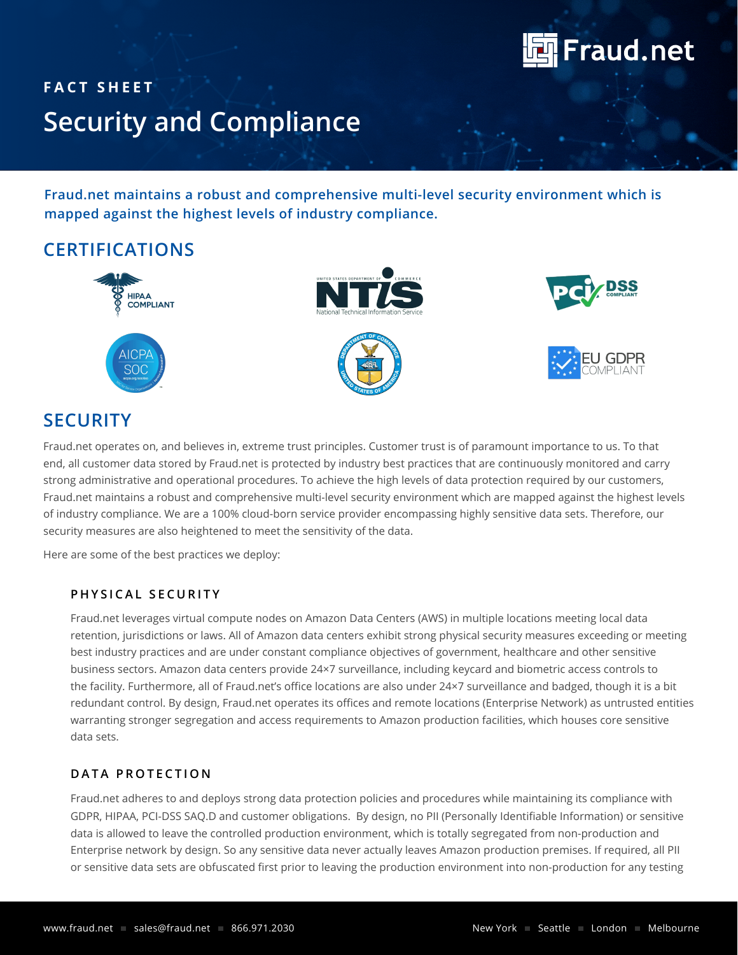

# **FACT SHEET Security and Compliance**

**Fraud.net maintains a robust and comprehensive multi-level security environment which is mapped against the highest levels of industry compliance.**

# **CERTIFICATIONS**



# **SECURITY**

Fraud.net operates on, and believes in, extreme trust principles. Customer trust is of paramount importance to us. To that end, all customer data stored by Fraud.net is protected by industry best practices that are continuously monitored and carry strong administrative and operational procedures. To achieve the high levels of data protection required by our customers, Fraud.net maintains a robust and comprehensive multi-level security environment which are mapped against the highest levels of industry compliance. We are a 100% cloud-born service provider encompassing highly sensitive data sets. Therefore, our security measures are also heightened to meet the sensitivity of the data.

Here are some of the best practices we deploy:

#### **PHYSICAL SECURITY**

Fraud.net leverages virtual compute nodes on Amazon Data Centers (AWS) in multiple locations meeting local data retention, jurisdictions or laws. All of Amazon data centers exhibit strong physical security measures exceeding or meeting best industry practices and are under constant compliance objectives of government, healthcare and other sensitive business sectors. Amazon data centers provide 24×7 surveillance, including keycard and biometric access controls to the facility. Furthermore, all of Fraud.net's office locations are also under 24×7 surveillance and badged, though it is a bit redundant control. By design, Fraud.net operates its offices and remote locations (Enterprise Network) as untrusted entities warranting stronger segregation and access requirements to Amazon production facilities, which houses core sensitive data sets.

#### DATA PROTECTION

Fraud.net adheres to and deploys strong data protection policies and procedures while maintaining its compliance with GDPR, HIPAA, PCI-DSS SAQ.D and customer obligations. By design, no PII (Personally Identifiable Information) or sensitive data is allowed to leave the controlled production environment, which is totally segregated from non-production and Enterprise network by design. So any sensitive data never actually leaves Amazon production premises. If required, all PII or sensitive data sets are obfuscated first prior to leaving the production environment into non-production for any testing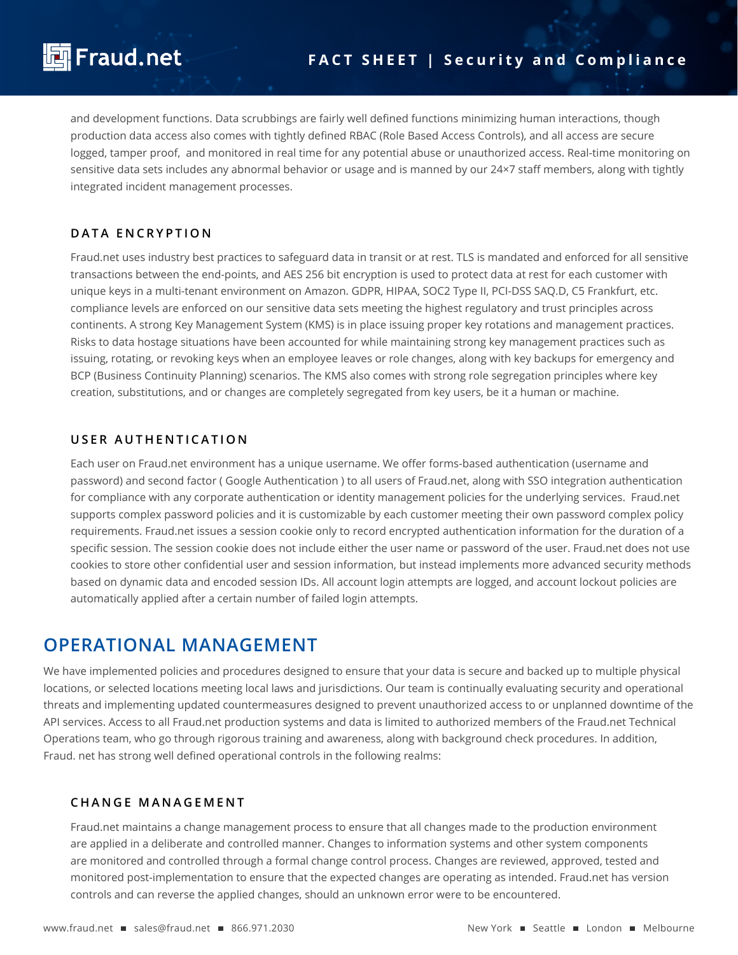and development functions. Data scrubbings are fairly well defined functions minimizing human interactions, though production data access also comes with tightly defined RBAC (Role Based Access Controls), and all access are secure logged, tamper proof, and monitored in real time for any potential abuse or unauthorized access. Real-time monitoring on sensitive data sets includes any abnormal behavior or usage and is manned by our 24×7 staff members, along with tightly integrated incident management processes.

#### **DATA ENCRYPTION**

Fraud.net uses industry best practices to safeguard data in transit or at rest. TLS is mandated and enforced for all sensitive transactions between the end-points, and AES 256 bit encryption is used to protect data at rest for each customer with unique keys in a multi-tenant environment on Amazon. GDPR, HIPAA, SOC2 Type II, PCI-DSS SAQ.D, C5 Frankfurt, etc. compliance levels are enforced on our sensitive data sets meeting the highest regulatory and trust principles across continents. A strong Key Management System (KMS) is in place issuing proper key rotations and management practices. Risks to data hostage situations have been accounted for while maintaining strong key management practices such as issuing, rotating, or revoking keys when an employee leaves or role changes, along with key backups for emergency and BCP (Business Continuity Planning) scenarios. The KMS also comes with strong role segregation principles where key creation, substitutions, and or changes are completely segregated from key users, be it a human or machine.

#### **USER AUTHENTICATION**

Each user on Fraud.net environment has a unique username. We offer forms-based authentication (username and password) and second factor ( Google Authentication ) to all users of Fraud.net, along with SSO integration authentication for compliance with any corporate authentication or identity management policies for the underlying services. Fraud.net supports complex password policies and it is customizable by each customer meeting their own password complex policy requirements. Fraud.net issues a session cookie only to record encrypted authentication information for the duration of a specific session. The session cookie does not include either the user name or password of the user. Fraud.net does not use cookies to store other confidential user and session information, but instead implements more advanced security methods based on dynamic data and encoded session IDs. All account login attempts are logged, and account lockout policies are automatically applied after a certain number of failed login attempts.

### **OPERATIONAL MANAGEMENT**

We have implemented policies and procedures designed to ensure that your data is secure and backed up to multiple physical locations, or selected locations meeting local laws and jurisdictions. Our team is continually evaluating security and operational threats and implementing updated countermeasures designed to prevent unauthorized access to or unplanned downtime of the API services. Access to all Fraud.net production systems and data is limited to authorized members of the Fraud.net Technical Operations team, who go through rigorous training and awareness, along with background check procedures. In addition, Fraud. net has strong well defined operational controls in the following realms:

#### **CHANGE MANAGEMENT**

Fraud.net maintains a change management process to ensure that all changes made to the production environment are applied in a deliberate and controlled manner. Changes to information systems and other system components are monitored and controlled through a formal change control process. Changes are reviewed, approved, tested and monitored post-implementation to ensure that the expected changes are operating as intended. Fraud.net has version controls and can reverse the applied changes, should an unknown error were to be encountered.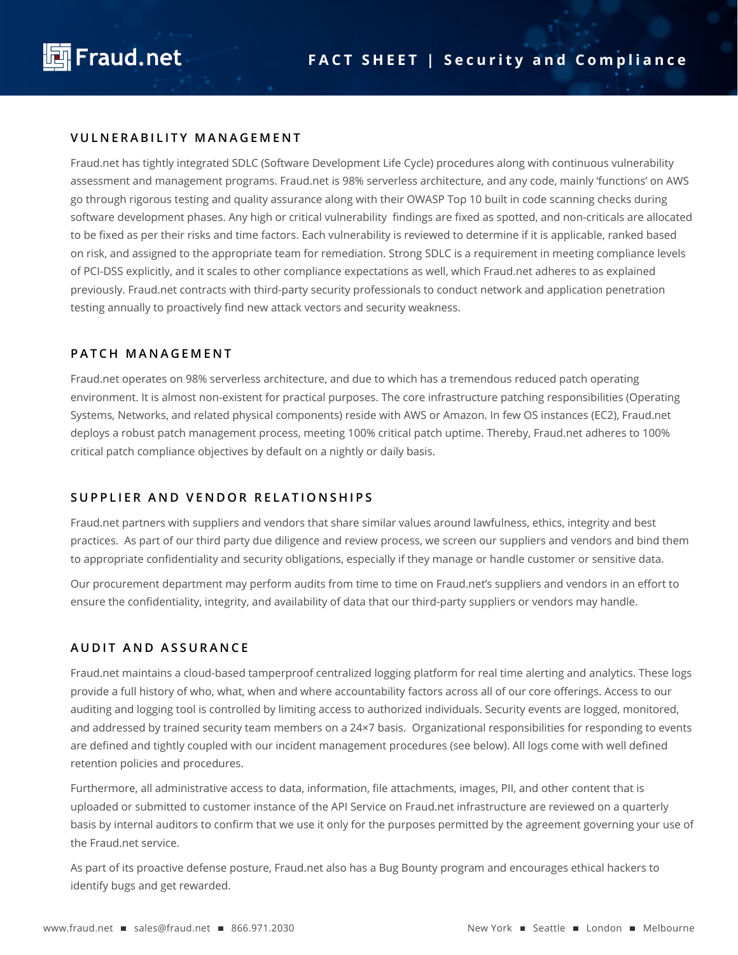

#### **VULNERABILITY MANAGEMENT**

Fraud.net has tightly integrated SDLC (Software Development Life Cycle) procedures along with continuous vulnerability assessment and management programs. Fraud.net is 98% serverless architecture, and any code, mainly 'functions' on AWS go through rigorous testing and quality assurance along with their OWASP Top 10 built in code scanning checks during software development phases. Any high or critical vulnerability findings are fixed as spotted, and non-criticals are allocated to be fixed as per their risks and time factors. Each vulnerability is reviewed to determine if it is applicable, ranked based on risk, and assigned to the appropriate team for remediation. Strong SDLC is a requirement in meeting compliance levels of PCI-DSS explicitly, and it scales to other compliance expectations as well, which Fraud.net adheres to as explained previously. Fraud.net contracts with third-party security professionals to conduct network and application penetration testing annually to proactively find new attack vectors and security weakness.

#### **PATCH MANAGEMENT**

Fraud.net operates on 98% serverless architecture, and due to which has a tremendous reduced patch operating environment. It is almost non-existent for practical purposes. The core infrastructure patching responsibilities (Operating Systems, Networks, and related physical components) reside with AWS or Amazon. In few OS instances (EC2), Fraud.net deploys a robust patch management process, meeting 100% critical patch uptime. Thereby, Fraud.net adheres to 100% critical patch compliance objectives by default on a nightly or daily basis.

#### **SUPPLIER AND VENDOR RELATIONSHIPS**

Fraud.net partners with suppliers and vendors that share similar values around lawfulness, ethics, integrity and best practices. As part of our third party due diligence and review process, we screen our suppliers and vendors and bind them to appropriate confidentiality and security obligations, especially if they manage or handle customer or sensitive data.

Our procurement department may perform audits from time to time on Fraud.net's suppliers and vendors in an effort to ensure the confidentiality, integrity, and availability of data that our third-party suppliers or vendors may handle.

#### **AUDIT AND ASSURANCE**

Fraud.net maintains a cloud-based tamperproof centralized logging platform for real time alerting and analytics. These logs provide a full history of who, what, when and where accountability factors across all of our core offerings. Access to our auditing and logging tool is controlled by limiting access to authorized individuals. Security events are logged, monitored, and addressed by trained security team members on a 24×7 basis. Organizational responsibilities for responding to events are defined and tightly coupled with our incident management procedures (see below). All logs come with well defined retention policies and procedures.

Furthermore, all administrative access to data, information, file attachments, images, PII, and other content that is uploaded or submitted to customer instance of the API Service on Fraud.net infrastructure are reviewed on a quarterly basis by internal auditors to confirm that we use it only for the purposes permitted by the agreement governing your use of the Fraud.net service.

As part of its proactive defense posture, Fraud.net also has a Bug Bounty program and encourages ethical hackers to identify bugs and get rewarded.